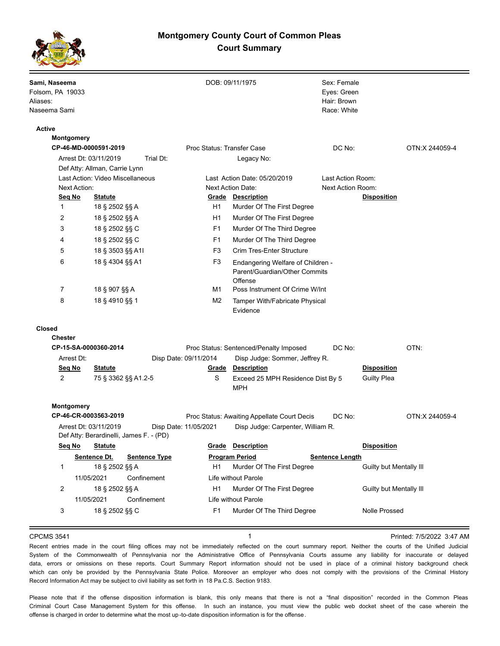## **Montgomery County Court of Common Pleas Court Summary**



| Sami, Naseema<br>Folsom, PA 19033<br>Aliases:<br>Naseema Sami |                                                                  |                       |                                                          | DOB: 09/11/1975                                                               | Sex: Female<br>Eyes: Green<br>Hair: Brown<br>Race: White |                         |                           |
|---------------------------------------------------------------|------------------------------------------------------------------|-----------------------|----------------------------------------------------------|-------------------------------------------------------------------------------|----------------------------------------------------------|-------------------------|---------------------------|
| Active                                                        |                                                                  |                       |                                                          |                                                                               |                                                          |                         |                           |
| <b>Montgomery</b>                                             |                                                                  |                       |                                                          |                                                                               |                                                          |                         |                           |
| CP-46-MD-0000591-2019                                         |                                                                  |                       | Proc Status: Transfer Case                               |                                                                               | DC No:                                                   |                         | OTN:X 244059-4            |
|                                                               | Arrest Dt: 03/11/2019                                            | Trial Dt:             |                                                          | Legacy No:                                                                    |                                                          |                         |                           |
|                                                               | Def Atty: Allman, Carrie Lynn                                    |                       |                                                          |                                                                               |                                                          |                         |                           |
| Last Action: Video Miscellaneous<br><b>Next Action:</b>       |                                                                  |                       | Last Action Date: 05/20/2019<br><b>Next Action Date:</b> |                                                                               | Last Action Room:<br>Next Action Room:                   |                         |                           |
| Seq No                                                        | <b>Statute</b>                                                   |                       |                                                          | Grade Description                                                             |                                                          | <b>Disposition</b>      |                           |
| 1                                                             | 18 § 2502 §§ A                                                   |                       | H1                                                       | Murder Of The First Degree                                                    |                                                          |                         |                           |
| 2                                                             | 18 § 2502 §§ A                                                   |                       | H <sub>1</sub>                                           | Murder Of The First Degree                                                    |                                                          |                         |                           |
| 3                                                             | 18 § 2502 §§ C                                                   |                       | F <sub>1</sub>                                           | Murder Of The Third Degree                                                    |                                                          |                         |                           |
| 4                                                             | 18 § 2502 §§ C                                                   |                       | F <sub>1</sub>                                           | Murder Of The Third Degree                                                    |                                                          |                         |                           |
| 5                                                             | 18 § 3503 §§ A1I                                                 |                       | F3                                                       | Crim Tres-Enter Structure                                                     |                                                          |                         |                           |
| 6                                                             | 18 § 4304 §§ A1                                                  |                       | F <sub>3</sub>                                           | Endangering Welfare of Children -<br>Parent/Guardian/Other Commits<br>Offense |                                                          |                         |                           |
| 7                                                             | 18 § 907 §§ A                                                    |                       | M1                                                       | Poss Instrument Of Crime W/Int                                                |                                                          |                         |                           |
| 8                                                             | 18 § 4910 §§ 1                                                   |                       | M2                                                       | Tamper With/Fabricate Physical<br>Evidence                                    |                                                          |                         |                           |
| Closed<br><b>Chester</b>                                      |                                                                  |                       |                                                          |                                                                               |                                                          |                         |                           |
|                                                               | CP-15-SA-0000360-2014                                            |                       |                                                          | Proc Status: Sentenced/Penalty Imposed                                        | DC No:                                                   |                         | OTN:                      |
| Arrest Dt:                                                    |                                                                  | Disp Date: 09/11/2014 |                                                          | Disp Judge: Sommer, Jeffrey R.                                                |                                                          |                         |                           |
| <u>Seq No</u>                                                 | <u>Statute</u>                                                   |                       | <u>Grade</u>                                             | <b>Description</b>                                                            |                                                          | <b>Disposition</b>      |                           |
| 2                                                             | 75 § 3362 §§ A1.2-5                                              |                       | S                                                        | Exceed 25 MPH Residence Dist By 5<br><b>MPH</b>                               |                                                          | <b>Guilty Plea</b>      |                           |
| Montgomery                                                    |                                                                  |                       |                                                          |                                                                               |                                                          |                         |                           |
|                                                               | CP-46-CR-0003563-2019                                            |                       |                                                          | Proc Status: Awaiting Appellate Court Decis                                   | DC No:                                                   |                         | OTN:X 244059-4            |
|                                                               | Arrest Dt: 03/11/2019<br>Def Atty: Berardinelli, James F. - (PD) | Disp Date: 11/05/2021 |                                                          | Disp Judge: Carpenter, William R.                                             |                                                          |                         |                           |
| Seg No                                                        | <u>Statute</u>                                                   |                       | <u>Grade</u>                                             | <b>Description</b>                                                            |                                                          | <b>Disposition</b>      |                           |
|                                                               | Sentence Dt.                                                     | <b>Sentence Type</b>  |                                                          | <b>Program Period</b>                                                         | <b>Sentence Length</b>                                   |                         |                           |
| 1                                                             | 18 § 2502 §§ A                                                   |                       | H1                                                       | Murder Of The First Degree                                                    |                                                          | Guilty but Mentally III |                           |
|                                                               | 11/05/2021                                                       | Confinement           |                                                          | Life without Parole                                                           |                                                          |                         |                           |
| 2                                                             | 18 § 2502 §§ A                                                   |                       | H1                                                       | Murder Of The First Degree                                                    |                                                          | Guilty but Mentally III |                           |
|                                                               | 11/05/2021                                                       | Confinement           |                                                          | Life without Parole                                                           |                                                          |                         |                           |
| 3                                                             | 18 § 2502 §§ C                                                   |                       | F <sub>1</sub>                                           | Murder Of The Third Degree                                                    |                                                          | Nolle Prossed           |                           |
| <b>CPCMS 3541</b>                                             |                                                                  |                       |                                                          | 1                                                                             |                                                          |                         | Printed: 7/5/2022 3:47 AM |

Recent entries made in the court filing offices may not be immediately reflected on the court summary report. Neither the courts of the Unified Judicial System of the Commonwealth of Pennsylvania nor the Administrative Office of Pennsylvania Courts assume any liability for inaccurate or delayed data, errors or omissions on these reports. Court Summary Report information should not be used in place of a criminal history background check which can only be provided by the Pennsylvania State Police. Moreover an employer who does not comply with the provisions of the Criminal History Record Information Act may be subject to civil liability as set forth in 18 Pa.C.S. Section 9183.

Please note that if the offense disposition information is blank, this only means that there is not a "final disposition" recorded in the Common Pleas Criminal Court Case Management System for this offense. In such an instance, you must view the public web docket sheet of the case wherein the offense is charged in order to determine what the most up -to-date disposition information is for the offense.